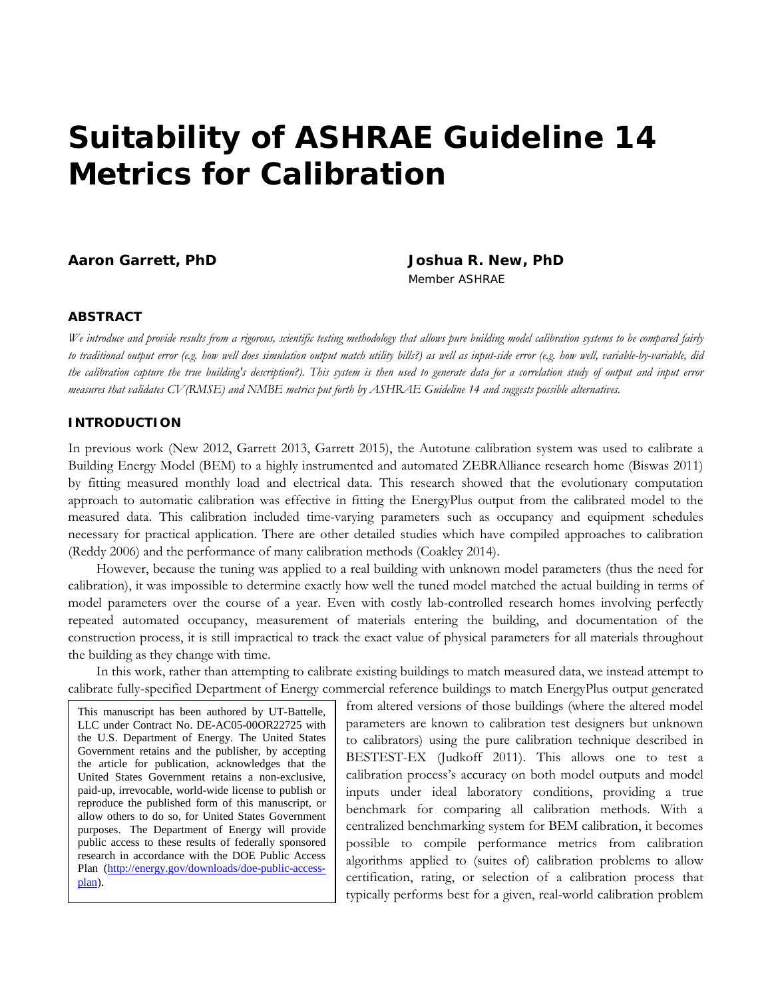# **Suitability of ASHRAE Guideline 14 Metrics for Calibration**

**Aaron Garrett, PhD Joshua R. New, PhD**

*Member ASHRAE*

#### **ABSTRACT**

*We introduce and provide results from a rigorous, scientific testing methodology that allows pure building model calibration systems to be compared fairly to traditional output error (e.g. how well does simulation output match utility bills?) as well as input-side error (e.g. how well, variable-by-variable, did the calibration capture the true building's description?). This system is then used to generate data for a correlation study of output and input error measures that validates CV(RMSE) and NMBE metrics put forth by ASHRAE Guideline 14 and suggests possible alternatives.*

## **INTRODUCTION**

In previous work (New 2012, Garrett 2013, Garrett 2015), the Autotune calibration system was used to calibrate a Building Energy Model (BEM) to a highly instrumented and automated ZEBRAlliance research home (Biswas 2011) by fitting measured monthly load and electrical data. This research showed that the evolutionary computation approach to automatic calibration was effective in fitting the EnergyPlus output from the calibrated model to the measured data. This calibration included time-varying parameters such as occupancy and equipment schedules necessary for practical application. There are other detailed studies which have compiled approaches to calibration (Reddy 2006) and the performance of many calibration methods (Coakley 2014).

However, because the tuning was applied to a real building with unknown model parameters (thus the need for calibration), it was impossible to determine exactly how well the tuned model matched the actual building in terms of model parameters over the course of a year. Even with costly lab-controlled research homes involving perfectly repeated automated occupancy, measurement of materials entering the building, and documentation of the construction process, it is still impractical to track the exact value of physical parameters for all materials throughout the building as they change with time.

In this work, rather than attempting to calibrate existing buildings to match measured data, we instead attempt to calibrate fully-specified Department of Energy commercial reference buildings to match EnergyPlus output generated

This manuscript has been authored by UT-Battelle, LLC under Contract No. DE-AC05-00OR22725 with the U.S. Department of Energy. The United States Government retains and the publisher, by accepting the article for publication, acknowledges that the United States Government retains a non-exclusive, paid-up, irrevocable, world-wide license to publish or reproduce the published form of this manuscript, or allow others to do so, for United States Government purposes. The Department of Energy will provide public access to these results of federally sponsored research in accordance with the DOE Public Access Plan [\(http://energy.gov/downloads/doe-public-access](http://energy.gov/downloads/doe-public-access-plan)[plan\)](http://energy.gov/downloads/doe-public-access-plan).

from altered versions of those buildings (where the altered model parameters are known to calibration test designers but unknown to calibrators) using the pure calibration technique described in BESTEST-EX (Judkoff 2011). This allows one to test a calibration process's accuracy on both model outputs and model inputs under ideal laboratory conditions, providing a true benchmark for comparing all calibration methods. With a centralized benchmarking system for BEM calibration, it becomes possible to compile performance metrics from calibration algorithms applied to (suites of) calibration problems to allow certification, rating, or selection of a calibration process that typically performs best for a given, real-world calibration problem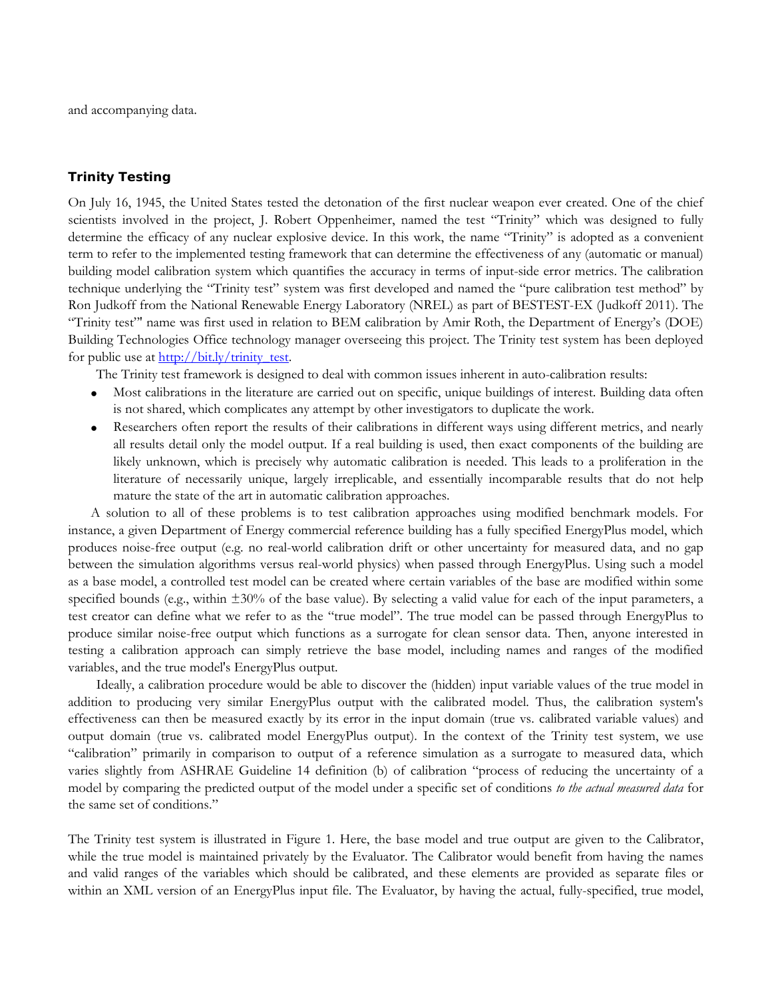and accompanying data.

#### **Trinity Testing**

On July 16, 1945, the United States tested the detonation of the first nuclear weapon ever created. One of the chief scientists involved in the project, J. Robert Oppenheimer, named the test "Trinity" which was designed to fully determine the efficacy of any nuclear explosive device. In this work, the name "Trinity" is adopted as a convenient term to refer to the implemented testing framework that can determine the effectiveness of any (automatic or manual) building model calibration system which quantifies the accuracy in terms of input-side error metrics. The calibration technique underlying the "Trinity test" system was first developed and named the "pure calibration test method" by Ron Judkoff from the National Renewable Energy Laboratory (NREL) as part of BESTEST-EX (Judkoff 2011). The "Trinity test"' name was first used in relation to BEM calibration by Amir Roth, the Department of Energy's (DOE) Building Technologies Office technology manager overseeing this project. The Trinity test system has been deployed for public use a[t http://bit.ly/trinity\\_test.](http://bit.ly/trinity_test)

The Trinity test framework is designed to deal with common issues inherent in auto-calibration results:

- Most calibrations in the literature are carried out on specific, unique buildings of interest. Building data often is not shared, which complicates any attempt by other investigators to duplicate the work.
- Researchers often report the results of their calibrations in different ways using different metrics, and nearly all results detail only the model output. If a real building is used, then exact components of the building are likely unknown, which is precisely why automatic calibration is needed. This leads to a proliferation in the literature of necessarily unique, largely irreplicable, and essentially incomparable results that do not help mature the state of the art in automatic calibration approaches.

A solution to all of these problems is to test calibration approaches using modified benchmark models. For instance, a given Department of Energy commercial reference building has a fully specified EnergyPlus model, which produces noise-free output (e.g. no real-world calibration drift or other uncertainty for measured data, and no gap between the simulation algorithms versus real-world physics) when passed through EnergyPlus. Using such a model as a base model, a controlled test model can be created where certain variables of the base are modified within some specified bounds (e.g., within  $\pm 30\%$  of the base value). By selecting a valid value for each of the input parameters, a test creator can define what we refer to as the "true model". The true model can be passed through EnergyPlus to produce similar noise-free output which functions as a surrogate for clean sensor data. Then, anyone interested in testing a calibration approach can simply retrieve the base model, including names and ranges of the modified variables, and the true model's EnergyPlus output.

Ideally, a calibration procedure would be able to discover the (hidden) input variable values of the true model in addition to producing very similar EnergyPlus output with the calibrated model. Thus, the calibration system's effectiveness can then be measured exactly by its error in the input domain (true vs. calibrated variable values) and output domain (true vs. calibrated model EnergyPlus output). In the context of the Trinity test system, we use "calibration" primarily in comparison to output of a reference simulation as a surrogate to measured data, which varies slightly from ASHRAE Guideline 14 definition (b) of calibration "process of reducing the uncertainty of a model by comparing the predicted output of the model under a specific set of conditions *to the actual measured data* for the same set of conditions."

The Trinity test system is illustrated in Figure 1. Here, the base model and true output are given to the Calibrator, while the true model is maintained privately by the Evaluator. The Calibrator would benefit from having the names and valid ranges of the variables which should be calibrated, and these elements are provided as separate files or within an XML version of an EnergyPlus input file. The Evaluator, by having the actual, fully-specified, true model,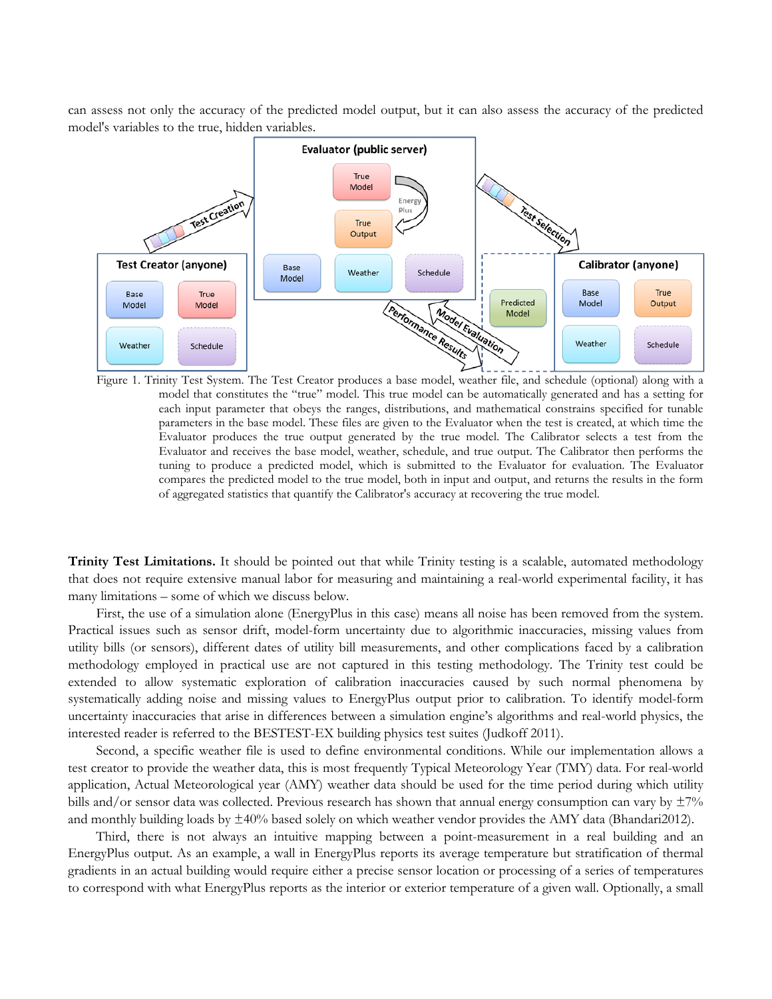can assess not only the accuracy of the predicted model output, but it can also assess the accuracy of the predicted model's variables to the true, hidden variables.



Figure 1. Trinity Test System. The Test Creator produces a base model, weather file, and schedule (optional) along with a model that constitutes the "true" model. This true model can be automatically generated and has a setting for each input parameter that obeys the ranges, distributions, and mathematical constrains specified for tunable parameters in the base model. These files are given to the Evaluator when the test is created, at which time the Evaluator produces the true output generated by the true model. The Calibrator selects a test from the Evaluator and receives the base model, weather, schedule, and true output. The Calibrator then performs the tuning to produce a predicted model, which is submitted to the Evaluator for evaluation. The Evaluator compares the predicted model to the true model, both in input and output, and returns the results in the form of aggregated statistics that quantify the Calibrator's accuracy at recovering the true model.

**Trinity Test Limitations.** It should be pointed out that while Trinity testing is a scalable, automated methodology that does not require extensive manual labor for measuring and maintaining a real-world experimental facility, it has many limitations – some of which we discuss below.

First, the use of a simulation alone (EnergyPlus in this case) means all noise has been removed from the system. Practical issues such as sensor drift, model-form uncertainty due to algorithmic inaccuracies, missing values from utility bills (or sensors), different dates of utility bill measurements, and other complications faced by a calibration methodology employed in practical use are not captured in this testing methodology. The Trinity test could be extended to allow systematic exploration of calibration inaccuracies caused by such normal phenomena by systematically adding noise and missing values to EnergyPlus output prior to calibration. To identify model-form uncertainty inaccuracies that arise in differences between a simulation engine's algorithms and real-world physics, the interested reader is referred to the BESTEST-EX building physics test suites (Judkoff 2011).

Second, a specific weather file is used to define environmental conditions. While our implementation allows a test creator to provide the weather data, this is most frequently Typical Meteorology Year (TMY) data. For real-world application, Actual Meteorological year (AMY) weather data should be used for the time period during which utility bills and/or sensor data was collected. Previous research has shown that annual energy consumption can vary by  $\pm 7\%$ and monthly building loads by ±40% based solely on which weather vendor provides the AMY data (Bhandari2012).

Third, there is not always an intuitive mapping between a point-measurement in a real building and an EnergyPlus output. As an example, a wall in EnergyPlus reports its average temperature but stratification of thermal gradients in an actual building would require either a precise sensor location or processing of a series of temperatures to correspond with what EnergyPlus reports as the interior or exterior temperature of a given wall. Optionally, a small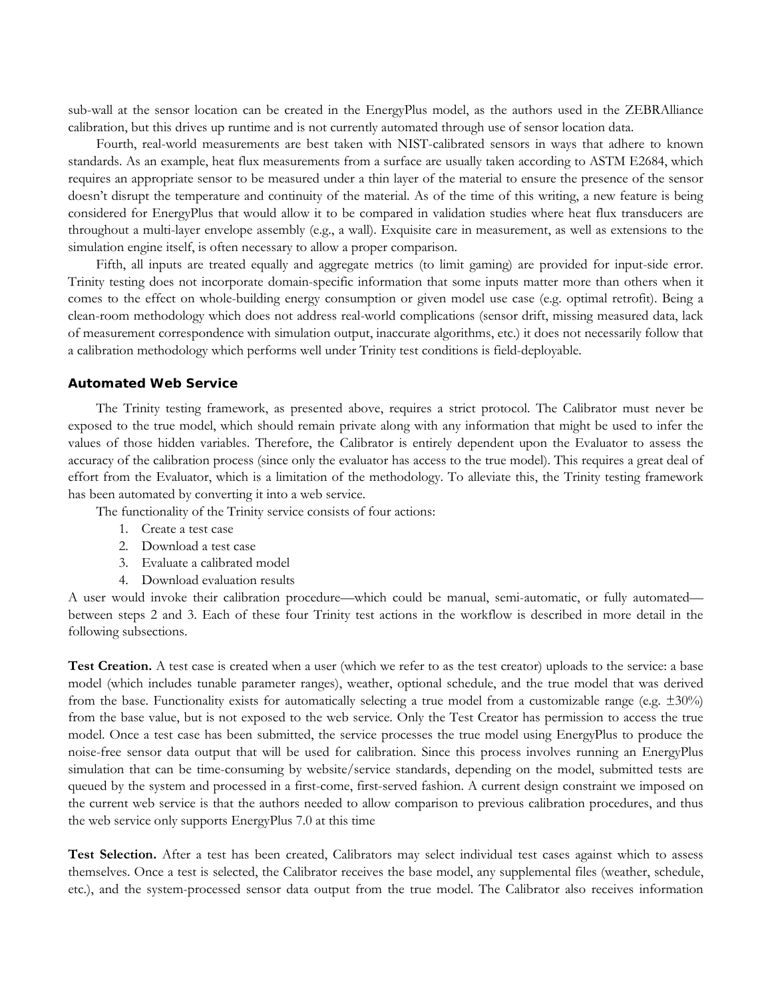sub-wall at the sensor location can be created in the EnergyPlus model, as the authors used in the ZEBRAlliance calibration, but this drives up runtime and is not currently automated through use of sensor location data.

Fourth, real-world measurements are best taken with NIST-calibrated sensors in ways that adhere to known standards. As an example, heat flux measurements from a surface are usually taken according to ASTM E2684, which requires an appropriate sensor to be measured under a thin layer of the material to ensure the presence of the sensor doesn't disrupt the temperature and continuity of the material. As of the time of this writing, a new feature is being considered for EnergyPlus that would allow it to be compared in validation studies where heat flux transducers are throughout a multi-layer envelope assembly (e.g., a wall). Exquisite care in measurement, as well as extensions to the simulation engine itself, is often necessary to allow a proper comparison.

Fifth, all inputs are treated equally and aggregate metrics (to limit gaming) are provided for input-side error. Trinity testing does not incorporate domain-specific information that some inputs matter more than others when it comes to the effect on whole-building energy consumption or given model use case (e.g. optimal retrofit). Being a clean-room methodology which does not address real-world complications (sensor drift, missing measured data, lack of measurement correspondence with simulation output, inaccurate algorithms, etc.) it does not necessarily follow that a calibration methodology which performs well under Trinity test conditions is field-deployable.

#### **Automated Web Service**

The Trinity testing framework, as presented above, requires a strict protocol. The Calibrator must never be exposed to the true model, which should remain private along with any information that might be used to infer the values of those hidden variables. Therefore, the Calibrator is entirely dependent upon the Evaluator to assess the accuracy of the calibration process (since only the evaluator has access to the true model). This requires a great deal of effort from the Evaluator, which is a limitation of the methodology. To alleviate this, the Trinity testing framework has been automated by converting it into a web service.

The functionality of the Trinity service consists of four actions:

- 1. Create a test case
- 2. Download a test case
- 3. Evaluate a calibrated model
- 4. Download evaluation results

A user would invoke their calibration procedure—which could be manual, semi-automatic, or fully automated between steps 2 and 3. Each of these four Trinity test actions in the workflow is described in more detail in the following subsections.

**Test Creation.** A test case is created when a user (which we refer to as the test creator) uploads to the service: a base model (which includes tunable parameter ranges), weather, optional schedule, and the true model that was derived from the base. Functionality exists for automatically selecting a true model from a customizable range (e.g.  $\pm 30\%$ ) from the base value, but is not exposed to the web service. Only the Test Creator has permission to access the true model. Once a test case has been submitted, the service processes the true model using EnergyPlus to produce the noise-free sensor data output that will be used for calibration. Since this process involves running an EnergyPlus simulation that can be time-consuming by website/service standards, depending on the model, submitted tests are queued by the system and processed in a first-come, first-served fashion. A current design constraint we imposed on the current web service is that the authors needed to allow comparison to previous calibration procedures, and thus the web service only supports EnergyPlus 7.0 at this time

**Test Selection.** After a test has been created, Calibrators may select individual test cases against which to assess themselves. Once a test is selected, the Calibrator receives the base model, any supplemental files (weather, schedule, etc.), and the system-processed sensor data output from the true model. The Calibrator also receives information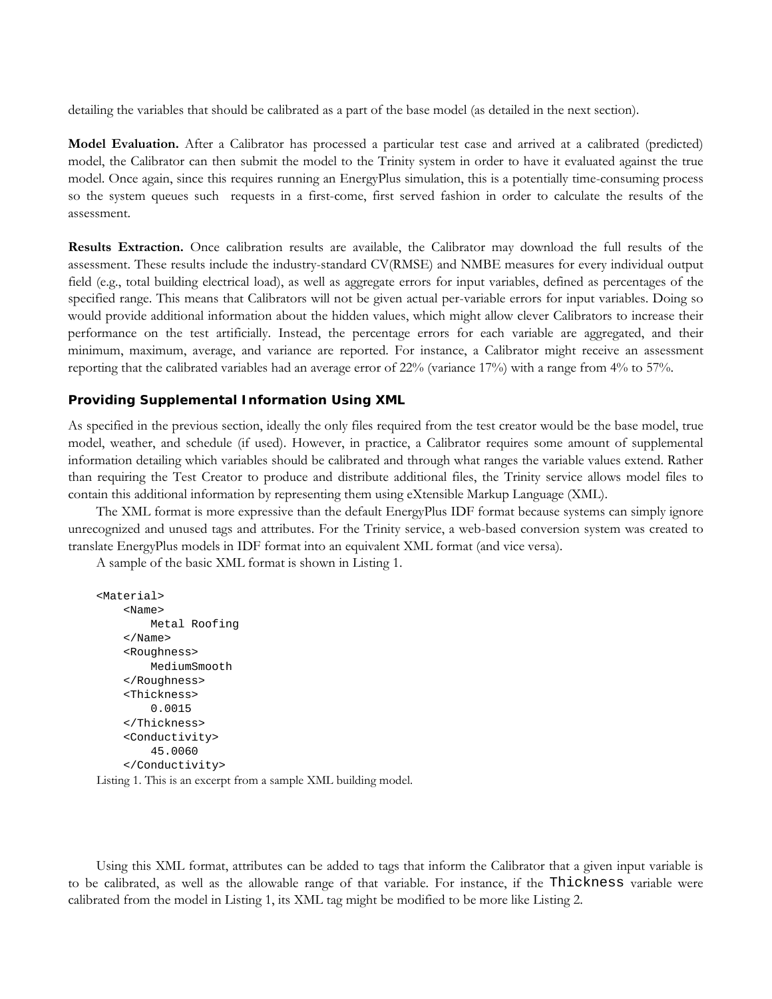detailing the variables that should be calibrated as a part of the base model (as detailed in the next section).

**Model Evaluation.** After a Calibrator has processed a particular test case and arrived at a calibrated (predicted) model, the Calibrator can then submit the model to the Trinity system in order to have it evaluated against the true model. Once again, since this requires running an EnergyPlus simulation, this is a potentially time-consuming process so the system queues such requests in a first-come, first served fashion in order to calculate the results of the assessment.

**Results Extraction.** Once calibration results are available, the Calibrator may download the full results of the assessment. These results include the industry-standard CV(RMSE) and NMBE measures for every individual output field (e.g., total building electrical load), as well as aggregate errors for input variables, defined as percentages of the specified range. This means that Calibrators will not be given actual per-variable errors for input variables. Doing so would provide additional information about the hidden values, which might allow clever Calibrators to increase their performance on the test artificially. Instead, the percentage errors for each variable are aggregated, and their minimum, maximum, average, and variance are reported. For instance, a Calibrator might receive an assessment reporting that the calibrated variables had an average error of 22% (variance 17%) with a range from 4% to 57%.

#### **Providing Supplemental Information Using XML**

As specified in the previous section, ideally the only files required from the test creator would be the base model, true model, weather, and schedule (if used). However, in practice, a Calibrator requires some amount of supplemental information detailing which variables should be calibrated and through what ranges the variable values extend. Rather than requiring the Test Creator to produce and distribute additional files, the Trinity service allows model files to contain this additional information by representing them using eXtensible Markup Language (XML).

The XML format is more expressive than the default EnergyPlus IDF format because systems can simply ignore unrecognized and unused tags and attributes. For the Trinity service, a web-based conversion system was created to translate EnergyPlus models in IDF format into an equivalent XML format (and vice versa).

A sample of the basic XML format is shown in [Listing 1.](#page-4-0)

```
<Material>
      <Name>
          Metal Roofing
      </Name>
      <Roughness>
          MediumSmooth
      </Roughness>
      <Thickness>
          0.0015
      </Thickness>
      <Conductivity>
          45.0060
      </Conductivity>
Listing 1. This is an excerpt from a sample XML building model.
```
<span id="page-4-0"></span>Using this XML format, attributes can be added to tags that inform the Calibrator that a given input variable is to be calibrated, as well as the allowable range of that variable. For instance, if the Thickness variable were calibrated from the model in [Listing 1,](#page-4-0) its XML tag might be modified to be more like Listing 2.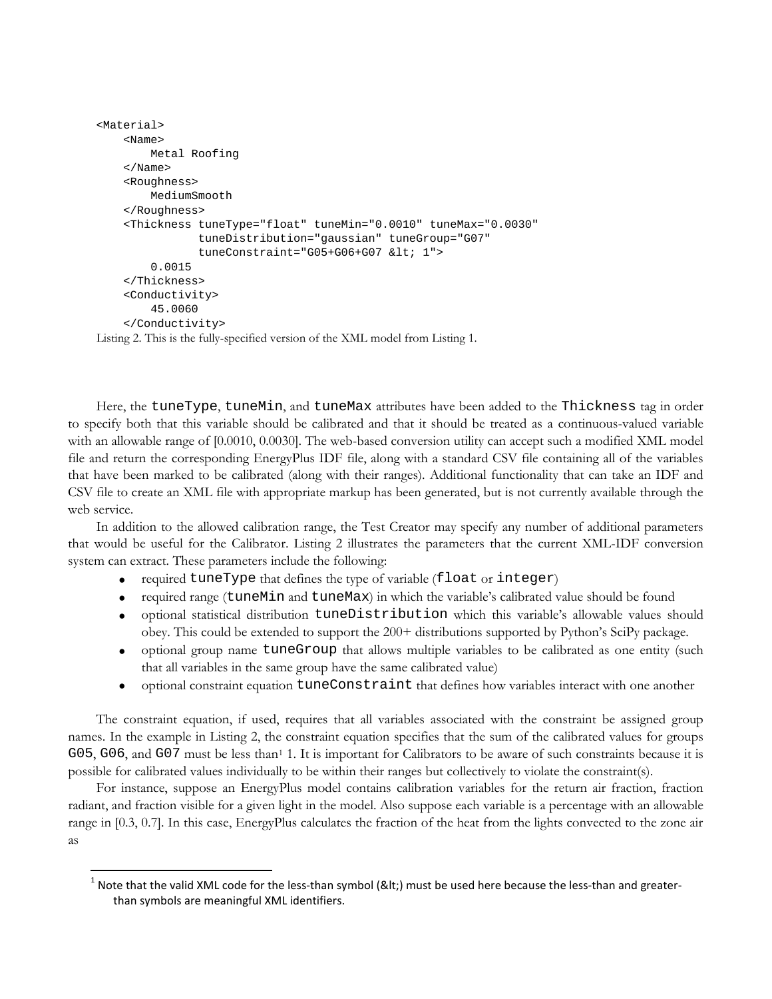```
<Material>
     <Name>
          Metal Roofing
     </Name>
     <Roughness>
         MediumSmooth
     </Roughness>
     <Thickness tuneType="float" tuneMin="0.0010" tuneMax="0.0030" 
                  tuneDistribution="gaussian" tuneGroup="G07" 
                 tuneConstraint="G05+G06+G07 < 1">
          0.0015
     </Thickness>
     <Conductivity>
          45.0060
     </Conductivity>
Listing 2. This is the fully-specified version of the XML model from Listing 1.
```
Here, the tuneType, tuneMin, and tuneMax attributes have been added to the Thickness tag in order to specify both that this variable should be calibrated and that it should be treated as a continuous-valued variable with an allowable range of [0.0010, 0.0030]. The web-based conversion utility can accept such a modified XML model file and return the corresponding EnergyPlus IDF file, along with a standard CSV file containing all of the variables that have been marked to be calibrated (along with their ranges). Additional functionality that can take an IDF and CSV file to create an XML file with appropriate markup has been generated, but is not currently available through the web service.

In addition to the allowed calibration range, the Test Creator may specify any number of additional parameters that would be useful for the Calibrator. Listing 2 illustrates the parameters that the current XML-IDF conversion system can extract. These parameters include the following:

- required tuneType that defines the type of variable (float or integer)
- required range (tuneMin and tuneMax) in which the variable's calibrated value should be found
- optional statistical distribution tuneDistribution which this variable's allowable values should obey. This could be extended to support the 200+ distributions supported by Python's SciPy package.
- optional group name tuneGroup that allows multiple variables to be calibrated as one entity (such that all variables in the same group have the same calibrated value)
- optional constraint equation tuneConstraint that defines how variables interact with one another

The constraint equation, if used, requires that all variables associated with the constraint be assigned group names. In the example in Listing 2, the constraint equation specifies that the sum of the calibrated values for groups G05, G06, and G07 must be less than<sup>[1](#page-5-0)</sup> 1. It is important for Calibrators to be aware of such constraints because it is possible for calibrated values individually to be within their ranges but collectively to violate the constraint(s).

For instance, suppose an EnergyPlus model contains calibration variables for the return air fraction, fraction radiant, and fraction visible for a given light in the model. Also suppose each variable is a percentage with an allowable range in [0.3, 0.7]. In this case, EnergyPlus calculates the fraction of the heat from the lights convected to the zone air as

<span id="page-5-0"></span> $1$  Note that the valid XML code for the less-than symbol (<) must be used here because the less-than and greaterthan symbols are meaningful XML identifiers.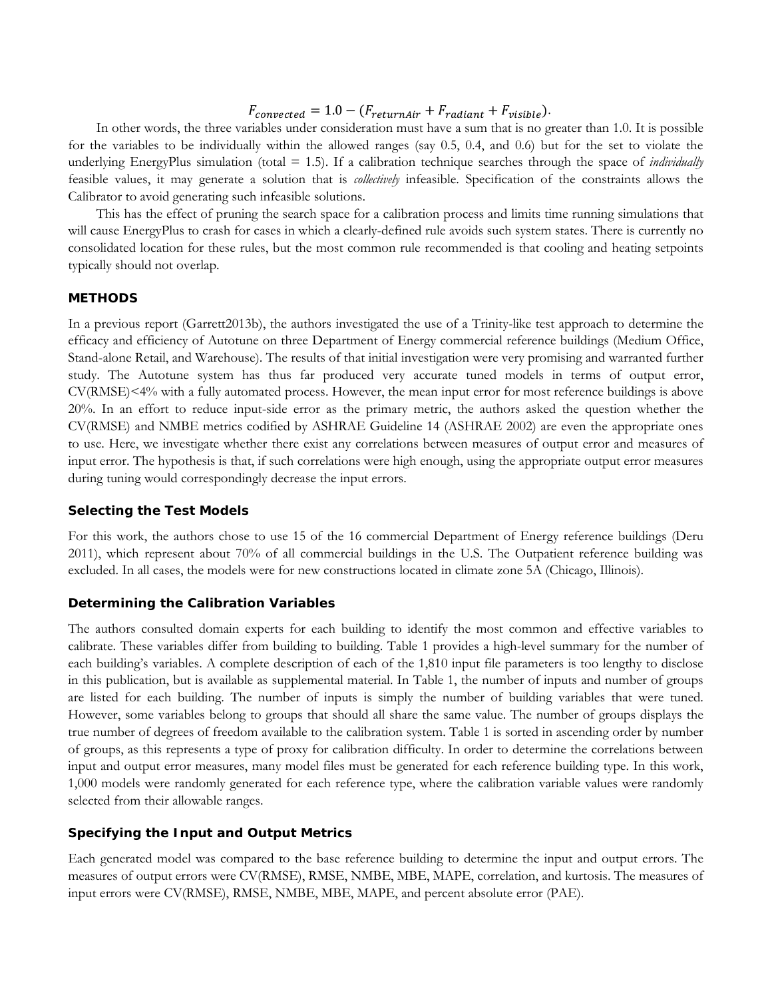# $F_{converted} = 1.0 - (F_{return Air} + F_{radiant} + F_{visible}).$

In other words, the three variables under consideration must have a sum that is no greater than 1.0. It is possible for the variables to be individually within the allowed ranges (say 0.5, 0.4, and 0.6) but for the set to violate the underlying EnergyPlus simulation (total = 1.5). If a calibration technique searches through the space of *individually* feasible values, it may generate a solution that is *collectively* infeasible. Specification of the constraints allows the Calibrator to avoid generating such infeasible solutions.

This has the effect of pruning the search space for a calibration process and limits time running simulations that will cause EnergyPlus to crash for cases in which a clearly-defined rule avoids such system states. There is currently no consolidated location for these rules, but the most common rule recommended is that cooling and heating setpoints typically should not overlap.

## **METHODS**

In a previous report (Garrett2013b), the authors investigated the use of a Trinity-like test approach to determine the efficacy and efficiency of Autotune on three Department of Energy commercial reference buildings (Medium Office, Stand-alone Retail, and Warehouse). The results of that initial investigation were very promising and warranted further study. The Autotune system has thus far produced very accurate tuned models in terms of output error, CV(RMSE)<4% with a fully automated process. However, the mean input error for most reference buildings is above 20%. In an effort to reduce input-side error as the primary metric, the authors asked the question whether the CV(RMSE) and NMBE metrics codified by ASHRAE Guideline 14 (ASHRAE 2002) are even the appropriate ones to use. Here, we investigate whether there exist any correlations between measures of output error and measures of input error. The hypothesis is that, if such correlations were high enough, using the appropriate output error measures during tuning would correspondingly decrease the input errors.

#### **Selecting the Test Models**

For this work, the authors chose to use 15 of the 16 commercial Department of Energy reference buildings (Deru 2011), which represent about 70% of all commercial buildings in the U.S. The Outpatient reference building was excluded. In all cases, the models were for new constructions located in climate zone 5A (Chicago, Illinois).

# **Determining the Calibration Variables**

The authors consulted domain experts for each building to identify the most common and effective variables to calibrate. These variables differ from building to building. Table 1 provides a high-level summary for the number of each building's variables. A complete description of each of the 1,810 input file parameters is too lengthy to disclose in this publication, but is available as supplemental material. In [Table 1,](#page-7-0) the number of inputs and number of groups are listed for each building. The number of inputs is simply the number of building variables that were tuned. However, some variables belong to groups that should all share the same value. The number of groups displays the true number of degrees of freedom available to the calibration system. Table 1 is sorted in ascending order by number of groups, as this represents a type of proxy for calibration difficulty. In order to determine the correlations between input and output error measures, many model files must be generated for each reference building type. In this work, 1,000 models were randomly generated for each reference type, where the calibration variable values were randomly selected from their allowable ranges.

# **Specifying the Input and Output Metrics**

Each generated model was compared to the base reference building to determine the input and output errors. The measures of output errors were CV(RMSE), RMSE, NMBE, MBE, MAPE, correlation, and kurtosis. The measures of input errors were CV(RMSE), RMSE, NMBE, MBE, MAPE, and percent absolute error (PAE).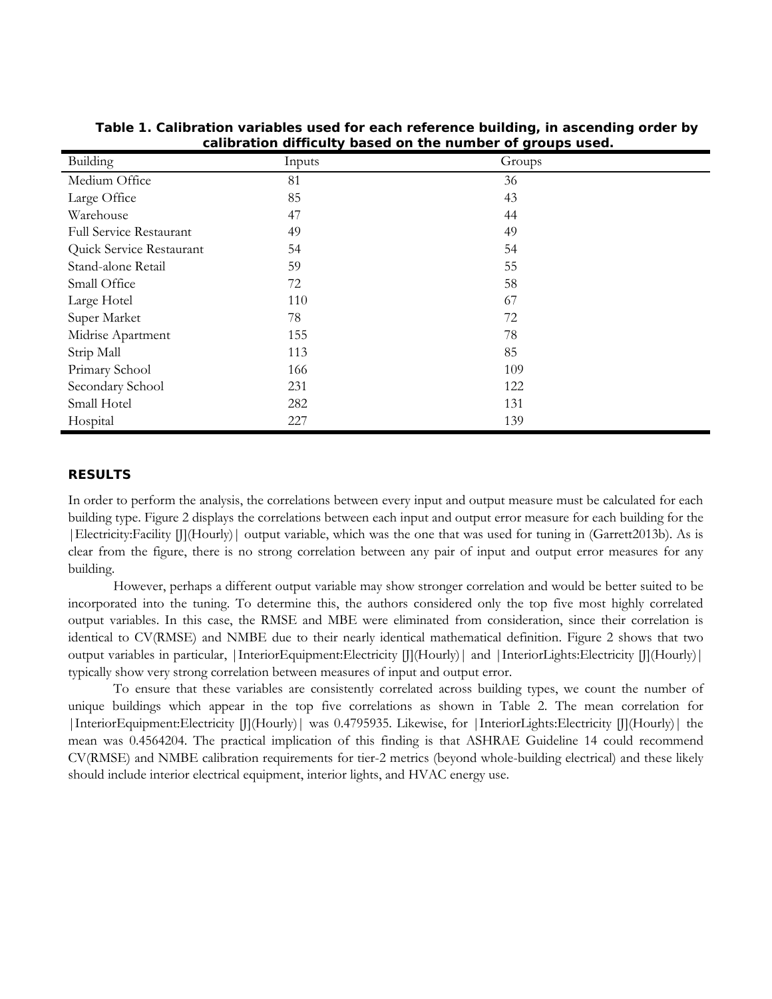| Building                       | Inputs | Groups |
|--------------------------------|--------|--------|
| Medium Office                  | 81     | 36     |
| Large Office                   | 85     | 43     |
| Warehouse                      | 47     | 44     |
| <b>Full Service Restaurant</b> | 49     | 49     |
| Quick Service Restaurant       | 54     | 54     |
| Stand-alone Retail             | 59     | 55     |
| Small Office                   | 72     | 58     |
| Large Hotel                    | 110    | 67     |
| Super Market                   | 78     | 72     |
| Midrise Apartment              | 155    | 78     |
| Strip Mall                     | 113    | 85     |
| Primary School                 | 166    | 109    |
| Secondary School               | 231    | 122    |
| Small Hotel                    | 282    | 131    |
| Hospital                       | 227    | 139    |

<span id="page-7-0"></span>**Table 1. Calibration variables used for each reference building, in ascending order by calibration difficulty based on the number of groups used.**

## **RESULTS**

In order to perform the analysis, the correlations between every input and output measure must be calculated for each building type. [Figure 2](#page-8-0) displays the correlations between each input and output error measure for each building for the |Electricity:Facility [J](Hourly)| output variable, which was the one that was used for tuning in (Garrett2013b). As is clear from the figure, there is no strong correlation between any pair of input and output error measures for any building.

However, perhaps a different output variable may show stronger correlation and would be better suited to be incorporated into the tuning. To determine this, the authors considered only the top five most highly correlated output variables. In this case, the RMSE and MBE were eliminated from consideration, since their correlation is identical to CV(RMSE) and NMBE due to their nearly identical mathematical definition. Figure 2 shows that two output variables in particular, |InteriorEquipment:Electricity [J](Hourly)| and |InteriorLights:Electricity [J](Hourly)| typically show very strong correlation between measures of input and output error.

To ensure that these variables are consistently correlated across building types, we count the number of unique buildings which appear in the top five correlations as shown in [Table 2.](#page-9-0) The mean correlation for |InteriorEquipment:Electricity [J](Hourly)| was 0.4795935. Likewise, for |InteriorLights:Electricity [J](Hourly)| the mean was 0.4564204. The practical implication of this finding is that ASHRAE Guideline 14 could recommend CV(RMSE) and NMBE calibration requirements for tier-2 metrics (beyond whole-building electrical) and these likely should include interior electrical equipment, interior lights, and HVAC energy use.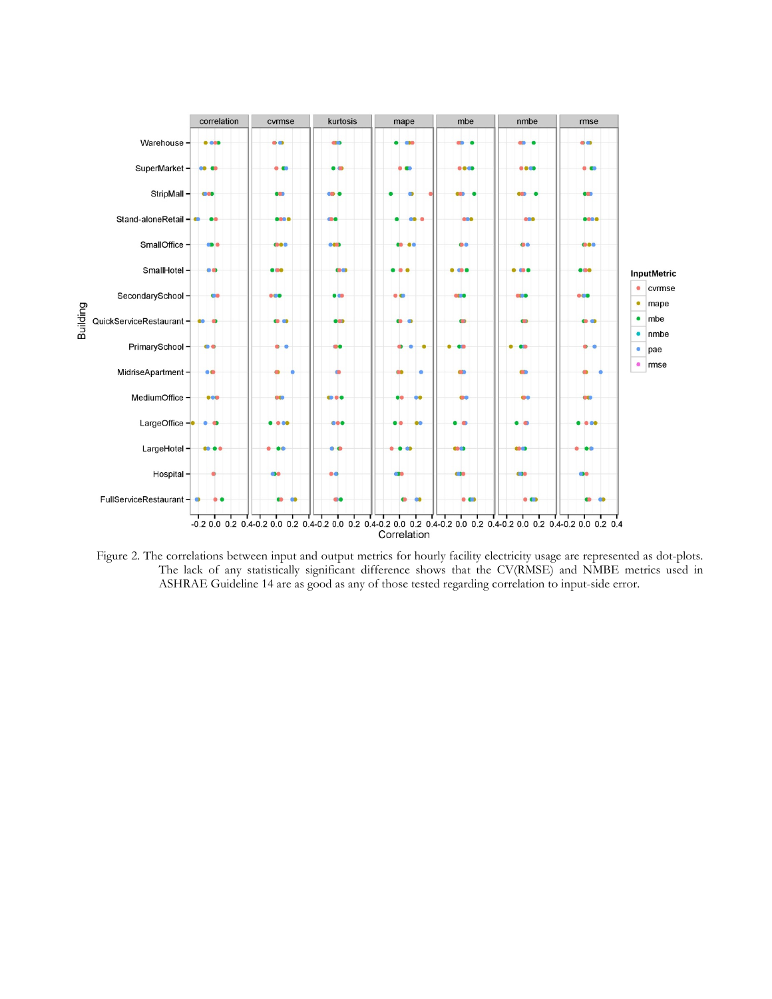

<span id="page-8-0"></span>Figure 2. The correlations between input and output metrics for hourly facility electricity usage are represented as dot-plots. The lack of any statistically significant difference shows that the CV(RMSE) and NMBE metrics used in ASHRAE Guideline 14 are as good as any of those tested regarding correlation to input-side error.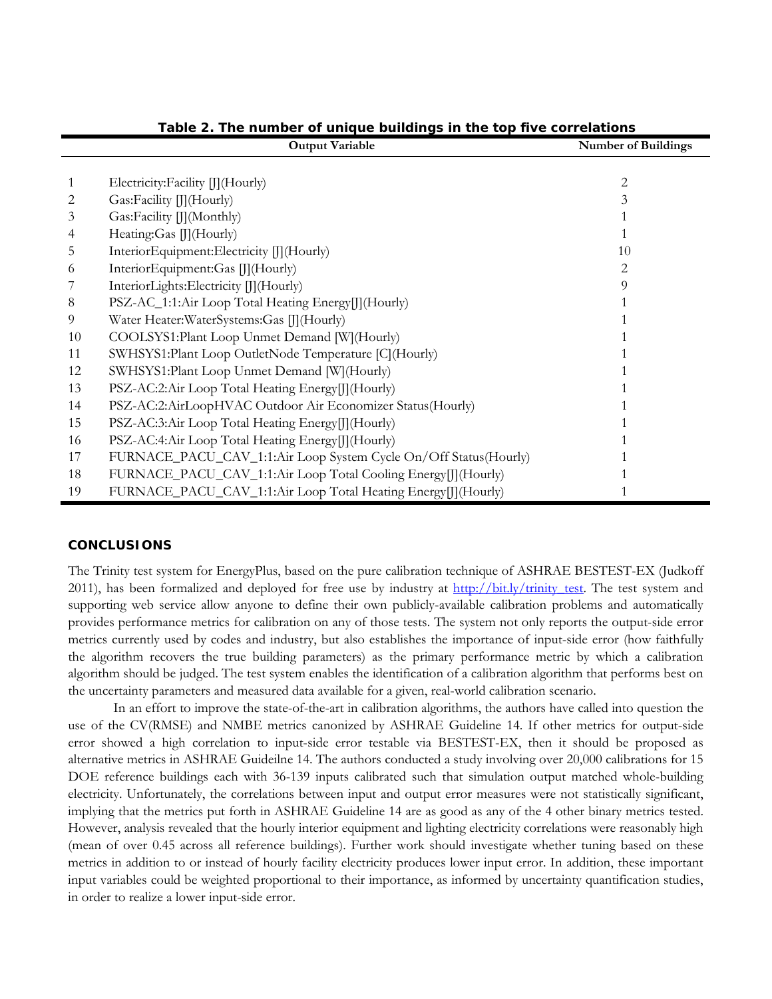<span id="page-9-0"></span>

|    | <b>Output Variable</b>                                           | <b>Number of Buildings</b> |
|----|------------------------------------------------------------------|----------------------------|
|    |                                                                  |                            |
| 1  | Electricity:Facility []](Hourly)                                 | 2                          |
| 2  | Gas:Facility [][(Hourly)                                         | 3                          |
| 3  | Gas:Facility []](Monthly)                                        |                            |
| 4  | Heating:Gas []](Hourly)                                          |                            |
| 5  | InteriorEquipment:Electricity [J](Hourly)                        | 10                         |
| 6  | InteriorEquipment:Gas [J](Hourly)                                | 2                          |
|    | InteriorLights:Electricity [J](Hourly)                           | 9                          |
| 8  | PSZ-AC_1:1:Air Loop Total Heating Energy [J] (Hourly)            |                            |
| 9  | Water Heater: WaterSystems: Gas []] (Hourly)                     |                            |
| 10 | COOLSYS1: Plant Loop Unmet Demand [W] (Hourly)                   |                            |
| 11 | SWHSYS1:Plant Loop OutletNode Temperature [C](Hourly)            |                            |
| 12 | SWHSYS1:Plant Loop Unmet Demand [W](Hourly)                      |                            |
| 13 | PSZ-AC:2:Air Loop Total Heating Energy [] (Hourly)               |                            |
| 14 | PSZ-AC:2:AirLoopHVAC Outdoor Air Economizer Status(Hourly)       |                            |
| 15 | PSZ-AC:3:Air Loop Total Heating Energy [[] (Hourly)              |                            |
| 16 | PSZ-AC:4:Air Loop Total Heating Energy [J] (Hourly)              |                            |
| 17 | FURNACE_PACU_CAV_1:1:Air Loop System Cycle On/Off Status(Hourly) |                            |
| 18 | FURNACE_PACU_CAV_1:1:Air Loop Total Cooling Energy [] (Hourly)   |                            |
| 19 | FURNACE_PACU_CAV_1:1:Air Loop Total Heating Energy [] (Hourly)   |                            |

**Table 2. The number of unique buildings in the top five correlations**

# **CONCLUSIONS**

The Trinity test system for EnergyPlus, based on the pure calibration technique of ASHRAE BESTEST-EX (Judkoff 2011), has been formalized and deployed for free use by industry at [http://bit.ly/trinity\\_test.](http://bit.ly/trinity_test) The test system and supporting web service allow anyone to define their own publicly-available calibration problems and automatically provides performance metrics for calibration on any of those tests. The system not only reports the output-side error metrics currently used by codes and industry, but also establishes the importance of input-side error (how faithfully the algorithm recovers the true building parameters) as the primary performance metric by which a calibration algorithm should be judged. The test system enables the identification of a calibration algorithm that performs best on the uncertainty parameters and measured data available for a given, real-world calibration scenario.

In an effort to improve the state-of-the-art in calibration algorithms, the authors have called into question the use of the CV(RMSE) and NMBE metrics canonized by ASHRAE Guideline 14. If other metrics for output-side error showed a high correlation to input-side error testable via BESTEST-EX, then it should be proposed as alternative metrics in ASHRAE Guideilne 14. The authors conducted a study involving over 20,000 calibrations for 15 DOE reference buildings each with 36-139 inputs calibrated such that simulation output matched whole-building electricity. Unfortunately, the correlations between input and output error measures were not statistically significant, implying that the metrics put forth in ASHRAE Guideline 14 are as good as any of the 4 other binary metrics tested. However, analysis revealed that the hourly interior equipment and lighting electricity correlations were reasonably high (mean of over 0.45 across all reference buildings). Further work should investigate whether tuning based on these metrics in addition to or instead of hourly facility electricity produces lower input error. In addition, these important input variables could be weighted proportional to their importance, as informed by uncertainty quantification studies, in order to realize a lower input-side error.